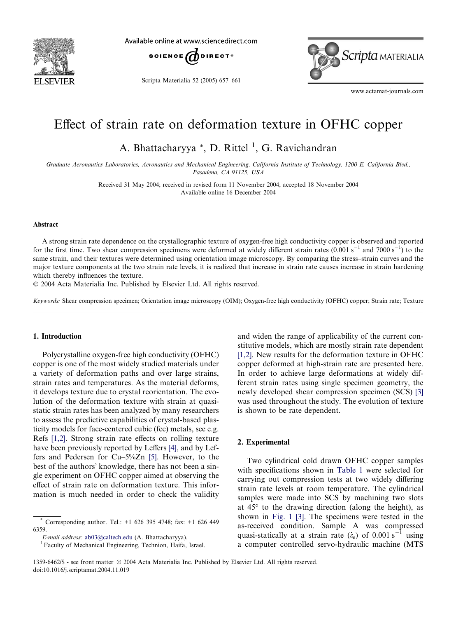

Available online at www.sciencedirect.com



Scripta Materialia 52 (2005) 657–661



www.actamat-journals.com

# Effect of strain rate on deformation texture in OFHC copper

A. Bhattacharyya<sup>\*</sup>, D. Rittel<sup>1</sup>, G. Ravichandran

Graduate Aeronautics Laboratories, Aeronautics and Mechanical Engineering, California Institute of Technology, 1200 E. California Blvd., Pasadena, CA 91125, USA

> Received 31 May 2004; received in revised form 11 November 2004; accepted 18 November 2004 Available online 16 December 2004

#### Abstract

A strong strain rate dependence on the crystallographic texture of oxygen-free high conductivity copper is observed and reported for the first time. Two shear compression specimens were deformed at widely different strain rates  $(0.001 \text{ s}^{-1}$  and  $7000 \text{ s}^{-1})$  to the same strain, and their textures were determined using orientation image microscopy. By comparing the stress–strain curves and the major texture components at the two strain rate levels, it is realized that increase in strain rate causes increase in strain hardening which thereby influences the texture.

2004 Acta Materialia Inc. Published by Elsevier Ltd. All rights reserved.

Keywords: Shear compression specimen; Orientation image microscopy (OIM); Oxygen-free high conductivity (OFHC) copper; Strain rate; Texture

## 1. Introduction

Polycrystalline oxygen-free high conductivity (OFHC) copper is one of the most widely studied materials under a variety of deformation paths and over large strains, strain rates and temperatures. As the material deforms, it develops texture due to crystal reorientation. The evolution of the deformation texture with strain at quasistatic strain rates has been analyzed by many researchers to assess the predictive capabilities of crystal-based plasticity models for face-centered cubic (fcc) metals, see e.g. Refs [\[1,2\]](#page-4-0). Strong strain rate effects on rolling texture have been previously reported by Leffers [\[4\]](#page-4-0), and by Leffers and Pedersen for Cu–5%Zn [\[5\].](#page-4-0) However, to the best of the authors' knowledge, there has not been a single experiment on OFHC copper aimed at observing the effect of strain rate on deformation texture. This information is much needed in order to check the validity

and widen the range of applicability of the current constitutive models, which are mostly strain rate dependent [\[1,2\].](#page-4-0) New results for the deformation texture in OFHC copper deformed at high-strain rate are presented here. In order to achieve large deformations at widely different strain rates using single specimen geometry, the newly developed shear compression specimen (SCS) [\[3\]](#page-4-0) was used throughout the study. The evolution of texture is shown to be rate dependent.

# 2. Experimental

Two cylindrical cold drawn OFHC copper samples with specifications shown in [Table 1](#page-1-0) were selected for carrying out compression tests at two widely differing strain rate levels at room temperature. The cylindrical samples were made into SCS by machining two slots at  $45^{\circ}$  to the drawing direction (along the height), as shown in [Fig. 1](#page-1-0) [\[3\].](#page-4-0) The specimens were tested in the as-received condition. Sample A was compressed quasi-statically at a strain rate  $(\dot{\epsilon}_e)$  of 0.001 s<sup>-1</sup> using a computer controlled servo-hydraulic machine (MTS

<sup>\*</sup> Corresponding author. Tel.: +1 626 395 4748; fax: +1 626 449 6359.

E-mail address: [ab03@caltech.edu](mailto:ab03@caltech.edu ) (A. Bhattacharyya). 1Faculty of Mechanical Engineering, Technion, Haifa, Israel.

<sup>1359-6462/\$ -</sup> see front matter 2004 Acta Materialia Inc. Published by Elsevier Ltd. All rights reserved. doi:10.1016/j.scriptamat.2004.11.019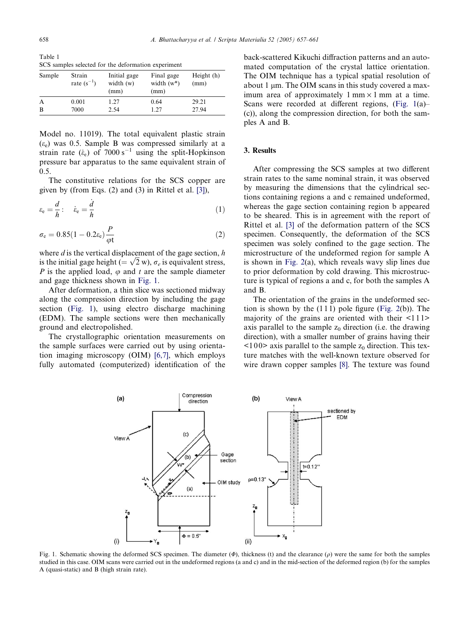<span id="page-1-0"></span>Table 1 SCS samples selected for the deformation experiment

| Sample | Strain<br>rate $(s^{-1})$ | Initial gage<br>width $(w)$<br>(mm) | Final gage<br>width $(w^*)$<br>(mm) | Height (h)<br>(mm) |
|--------|---------------------------|-------------------------------------|-------------------------------------|--------------------|
| A      | 0.001                     | 1.27                                | 0.64                                | 29.21              |
| B      | 7000                      | 2.54                                | 1.27                                | 27.94              |

Model no. 11019). The total equivalent plastic strain  $(\varepsilon_e)$  was 0.5. Sample B was compressed similarly at a strain rate  $(\dot{\epsilon}_e)$  of 7000 s<sup>-1</sup> using the split-Hopkinson pressure bar apparatus to the same equivalent strain of 0.5.

The constitutive relations for the SCS copper are given by (from Eqs. (2) and (3) in Rittel et al. [\[3\]](#page-4-0)),

$$
\varepsilon_{\rm e} = \frac{d}{h} : \quad \dot{\varepsilon}_{\rm e} = \frac{\dot{d}}{h} \tag{1}
$$

$$
\sigma_{\rm e} = 0.85(1 - 0.2\epsilon_{\rm e})\frac{P}{\varphi t} \tag{2}
$$

where  $d$  is the vertical displacement of the gage section,  $h$ where *a* is the vertical displacement of the gage section, *n* is the initial gage height (=  $\sqrt{2}$  w),  $\sigma_e$  is equivalent stress, P is the applied load,  $\varphi$  and t are the sample diameter and gage thickness shown in Fig. 1.

After deformation, a thin slice was sectioned midway along the compression direction by including the gage section (Fig. 1), using electro discharge machining (EDM). The sample sections were then mechanically ground and electropolished.

The crystallographic orientation measurements on the sample surfaces were carried out by using orientation imaging microscopy (OIM) [\[6,7\],](#page-4-0) which employs fully automated (computerized) identification of the back-scattered Kikuchi diffraction patterns and an automated computation of the crystal lattice orientation. The OIM technique has a typical spatial resolution of about 1  $\mu$ m. The OIM scans in this study covered a maximum area of approximately  $1 \text{ mm} \times 1 \text{ mm}$  at a time. Scans were recorded at different regions, (Fig. 1(a)– (c)), along the compression direction, for both the samples A and B.

### 3. Results

After compressing the SCS samples at two different strain rates to the same nominal strain, it was observed by measuring the dimensions that the cylindrical sections containing regions a and c remained undeformed, whereas the gage section containing region b appeared to be sheared. This is in agreement with the report of Rittel et al. [\[3\]](#page-4-0) of the deformation pattern of the SCS specimen. Consequently, the deformation of the SCS specimen was solely confined to the gage section. The microstructure of the undeformed region for sample A is shown in [Fig. 2\(](#page-2-0)a), which reveals wavy slip lines due to prior deformation by cold drawing. This microstructure is typical of regions a and c, for both the samples A and B.

The orientation of the grains in the undeformed section is shown by the  $(111)$  pole figure [\(Fig. 2](#page-2-0)(b)). The majority of the grains are oriented with their  $\leq 111$ axis parallel to the sample  $z_0$  direction (i.e. the drawing direction), with a smaller number of grains having their  $\langle 100 \rangle$  axis parallel to the sample  $z_0$  direction. This texture matches with the well-known texture observed for wire drawn copper samples [\[8\]](#page-4-0). The texture was found



Fig. 1. Schematic showing the deformed SCS specimen. The diameter  $(\phi)$ , thickness (t) and the clearance (o) were the same for both the samples studied in this case. OIM scans were carried out in the undeformed regions (a and c) and in the mid-section of the deformed region (b) for the samples A (quasi-static) and B (high strain rate).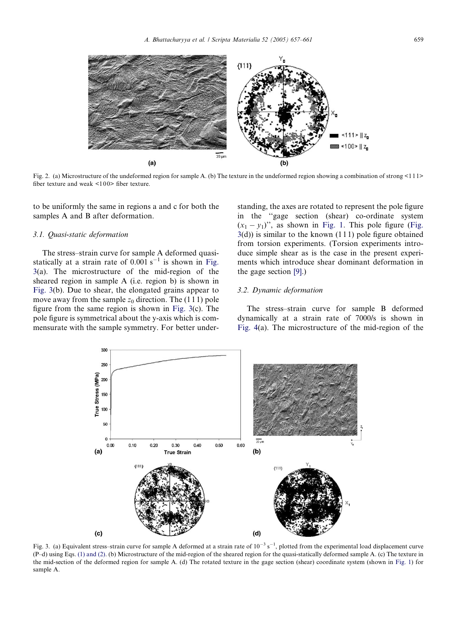<span id="page-2-0"></span>

Fig. 2. (a) Microstructure of the undeformed region for sample A. (b) The texture in the undeformed region showing a combination of strong <111> fiber texture and weak  $\leq 100$  fiber texture.

to be uniformly the same in regions a and c for both the samples A and B after deformation.

#### 3.1. Quasi-static deformation

The stress–strain curve for sample A deformed quasistatically at a strain rate of 0.001 s<sup>-1</sup> is shown in Fig. 3(a). The microstructure of the mid-region of the sheared region in sample A (i.e. region b) is shown in Fig. 3(b). Due to shear, the elongated grains appear to move away from the sample  $z_0$  direction. The (111) pole figure from the same region is shown in Fig. 3(c). The pole figure is symmetrical about the y-axis which is commensurate with the sample symmetry. For better understanding, the axes are rotated to represent the pole figure in the ''gage section (shear) co-ordinate system  $(x_1 - y_1)$ ", as shown in [Fig. 1](#page-1-0). This pole figure (Fig.  $3(d)$ ) is similar to the known  $(111)$  pole figure obtained from torsion experiments. (Torsion experiments introduce simple shear as is the case in the present experiments which introduce shear dominant deformation in the gage section [\[9\]](#page-4-0).)

# 3.2. Dynamic deformation

The stress–strain curve for sample B deformed dynamically at a strain rate of 7000/s is shown in [Fig. 4\(](#page-3-0)a). The microstructure of the mid-region of the



Fig. 3. (a) Equivalent stress–strain curve for sample A deformed at a strain rate of  $10^{-3}$  s<sup>-1</sup>, plotted from the experimental load displacement curve (P–d) using Eqs. [\(1\) and \(2\)](#page-1-0). (b) Microstructure of the mid-region of the sheared region for the quasi-statically deformed sample A. (c) The texture in the mid-section of the deformed region for sample A. (d) The rotated texture in the gage section (shear) coordinate system (shown in [Fig. 1](#page-1-0)) for sample A.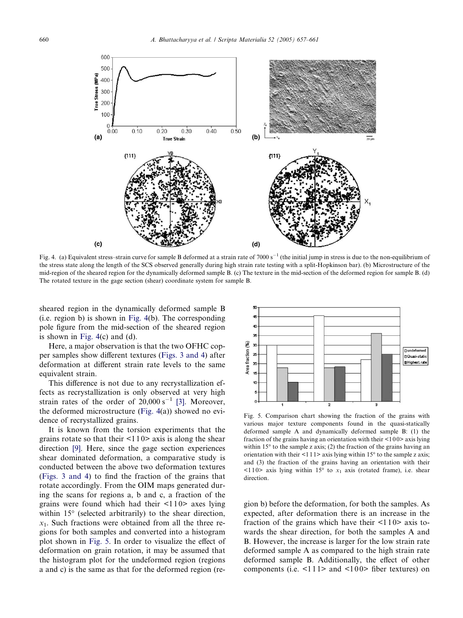<span id="page-3-0"></span>

Fig. 4. (a) Equivalent stress–strain curve for sample B deformed at a strain rate of  $7000 \text{ s}^{-1}$  (the initial jump in stress is due to the non-equilibrium of the stress state along the length of the SCS observed generally during high strain rate testing with a split-Hopkinson bar). (b) Microstructure of the mid-region of the sheared region for the dynamically deformed sample B. (c) The texture in the mid-section of the deformed region for sample B. (d) The rotated texture in the gage section (shear) coordinate system for sample B.

sheared region in the dynamically deformed sample B (i.e. region b) is shown in Fig. 4(b). The corresponding pole figure from the mid-section of the sheared region is shown in Fig.  $4(c)$  and  $(d)$ .

Here, a major observation is that the two OFHC copper samples show different textures [\(Figs. 3 and 4](#page-2-0)) after deformation at different strain rate levels to the same equivalent strain.

This difference is not due to any recrystallization effects as recrystallization is only observed at very high strain rates of the order of  $20,000 s^{-1}$  [\[3\]](#page-4-0). Moreover, the deformed microstructure (Fig. 4(a)) showed no evidence of recrystallized grains.

It is known from the torsion experiments that the grains rotate so that their  $\leq 110$  axis is along the shear direction [\[9\].](#page-4-0) Here, since the gage section experiences shear dominated deformation, a comparative study is conducted between the above two deformation textures ([Figs. 3 and 4](#page-2-0)) to find the fraction of the grains that rotate accordingly. From the OIM maps generated during the scans for regions a, b and c, a fraction of the grains were found which had their  $\leq 110$  axes lying within  $15^{\circ}$  (selected arbitrarily) to the shear direction,  $x_1$ . Such fractions were obtained from all the three regions for both samples and converted into a histogram plot shown in Fig. 5. In order to visualize the effect of deformation on grain rotation, it may be assumed that the histogram plot for the undeformed region (regions a and c) is the same as that for the deformed region (re-



Fig. 5. Comparison chart showing the fraction of the grains with various major texture components found in the quasi-statically deformed sample A and dynamically deformed sample B: (1) the fraction of the grains having an orientation with their  $\leq 100$  axis lying within  $15^{\circ}$  to the sample z axis; (2) the fraction of the grains having an orientation with their  $\leq$ 1 1  $\geq$  axis lying within 15 $\degree$  to the sample z axis; and (3) the fraction of the grains having an orientation with their  $\leq$ 110> axis lying within 15° to  $x_1$  axis (rotated frame), i.e. shear direction.

gion b) before the deformation, for both the samples. As expected, after deformation there is an increase in the fraction of the grains which have their  $\leq 110$  axis towards the shear direction, for both the samples A and B. However, the increase is larger for the low strain rate deformed sample A as compared to the high strain rate deformed sample B. Additionally, the effect of other components (i.e.  $\leq$ 111> and  $\leq$ 100> fiber textures) on